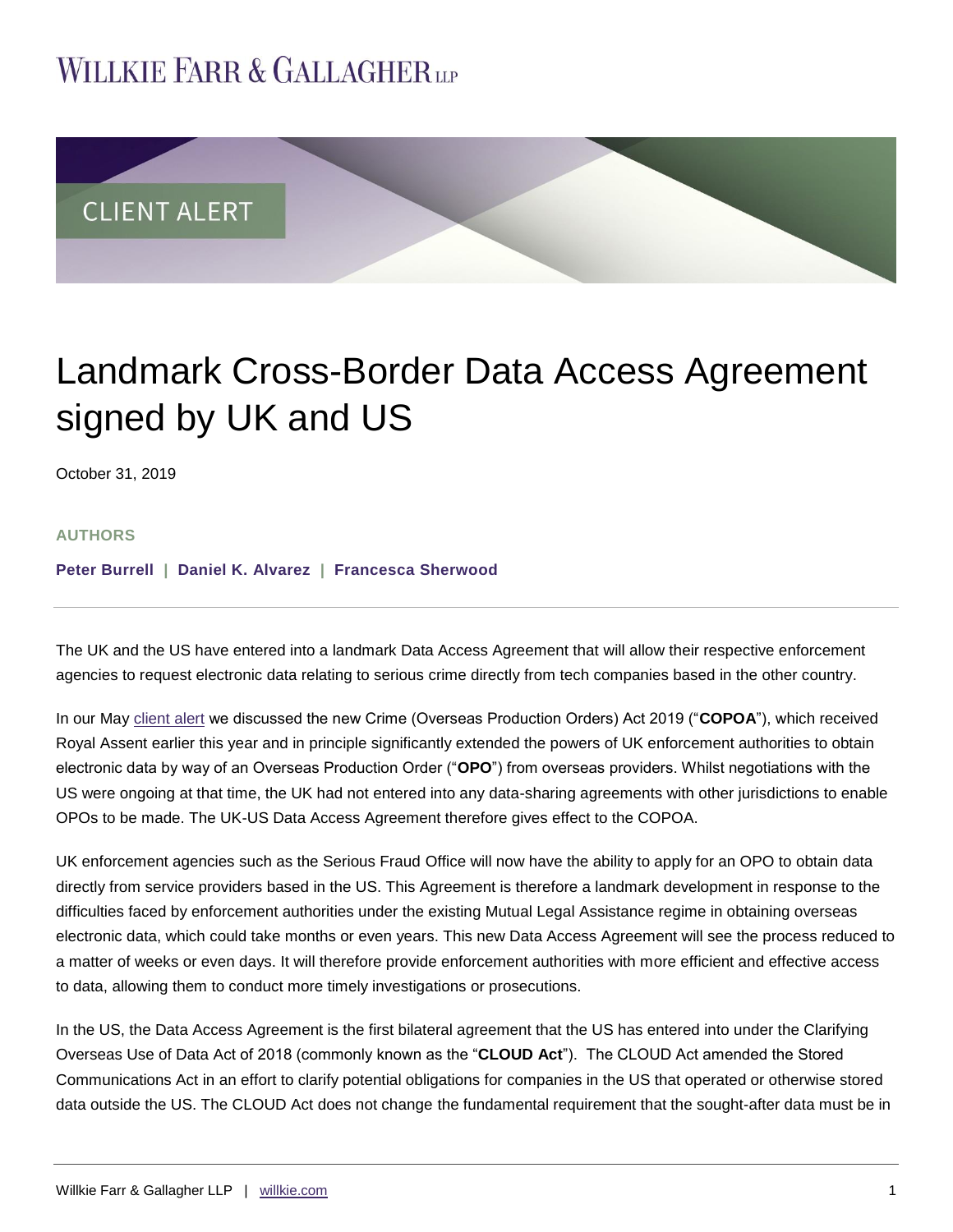## **WILLKIE FARR & GALLAGHERUP**



# Landmark Cross-Border Data Access Agreement signed by UK and US

October 31, 2019

#### **AUTHORS**

**[Peter Burrell](https://www.willkie.com/professionals/b/burrell-peter) | [Daniel K. Alvarez](https://www.willkie.com/professionals/a/alvarez-daniel) | [Francesca](https://www.willkie.com/professionals/c/corns-francesca) Sherwood**

The UK and the US have entered into a landmark Data Access Agreement that will allow their respective enforcement agencies to request electronic data relating to serious crime directly from tech companies based in the other country.

In our May [client alert](https://www.willkie.com/~/media/Files/Publications/2019/04/05/UK_Enforcement_Authorities_Given_New_Powers_to_Obtain_Electronic_Data_Stored_Overseas.pdf) we discussed the new Crime (Overseas Production Orders) Act 2019 ("**COPOA**"), which received Royal Assent earlier this year and in principle significantly extended the powers of UK enforcement authorities to obtain electronic data by way of an Overseas Production Order ("**OPO**") from overseas providers. Whilst negotiations with the US were ongoing at that time, the UK had not entered into any data-sharing agreements with other jurisdictions to enable OPOs to be made. The UK-US Data Access Agreement therefore gives effect to the COPOA.

UK enforcement agencies such as the Serious Fraud Office will now have the ability to apply for an OPO to obtain data directly from service providers based in the US. This Agreement is therefore a landmark development in response to the difficulties faced by enforcement authorities under the existing Mutual Legal Assistance regime in obtaining overseas electronic data, which could take months or even years. This new Data Access Agreement will see the process reduced to a matter of weeks or even days. It will therefore provide enforcement authorities with more efficient and effective access to data, allowing them to conduct more timely investigations or prosecutions.

In the US, the Data Access Agreement is the first bilateral agreement that the US has entered into under the Clarifying Overseas Use of Data Act of 2018 (commonly known as the "**CLOUD Act**"). The CLOUD Act amended the Stored Communications Act in an effort to clarify potential obligations for companies in the US that operated or otherwise stored data outside the US. The CLOUD Act does not change the fundamental requirement that the sought-after data must be in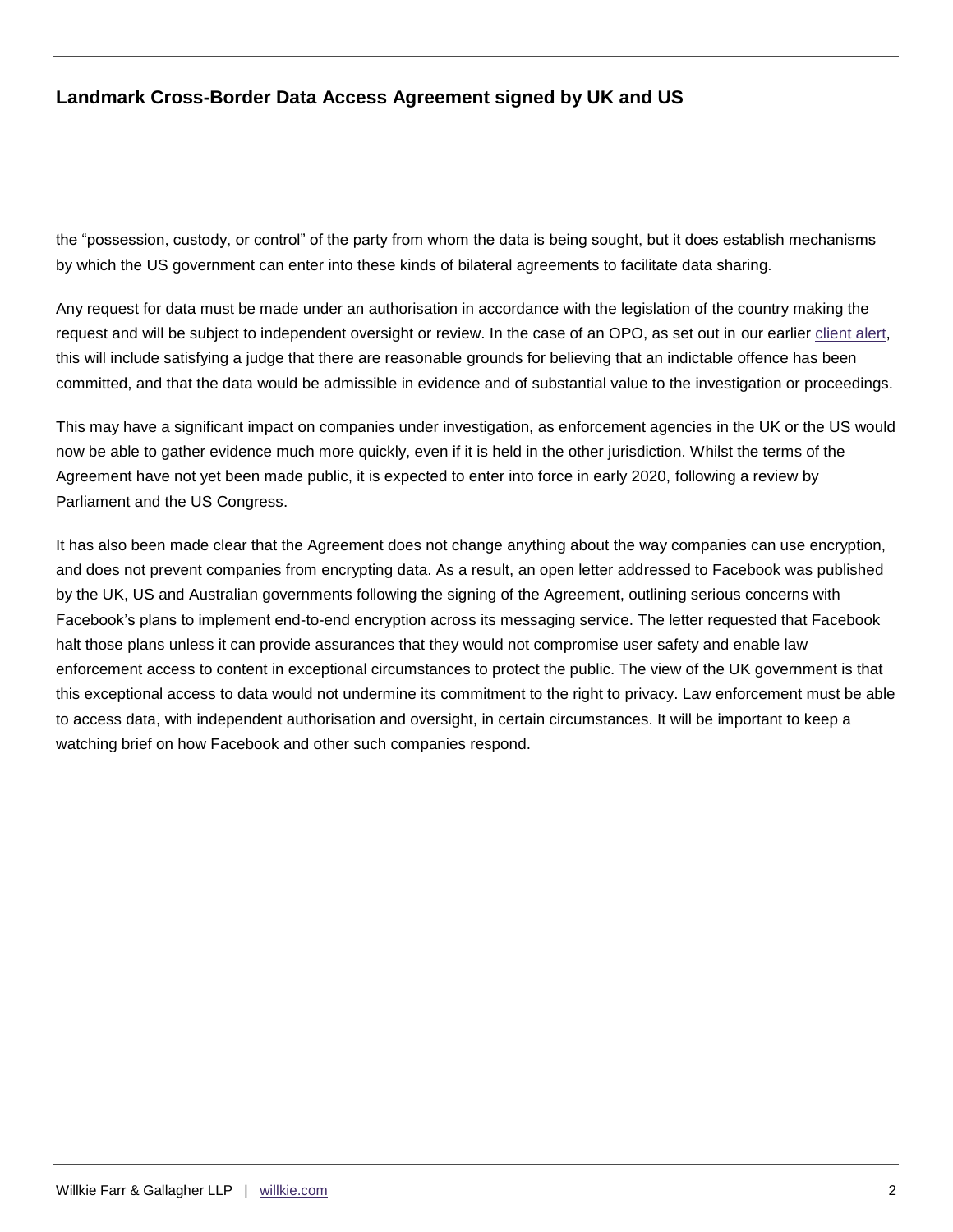## **Landmark Cross-Border Data Access Agreement signed by UK and US**

the "possession, custody, or control" of the party from whom the data is being sought, but it does establish mechanisms by which the US government can enter into these kinds of bilateral agreements to facilitate data sharing.

Any request for data must be made under an authorisation in accordance with the legislation of the country making the request and will be subject to independent oversight or review. In the case of an OPO, as set out in our earlier [client alert,](https://www.willkie.com/~/media/Files/Publications/2019/04/05/UK_Enforcement_Authorities_Given_New_Powers_to_Obtain_Electronic_Data_Stored_Overseas.pdf) this will include satisfying a judge that there are reasonable grounds for believing that an indictable offence has been committed, and that the data would be admissible in evidence and of substantial value to the investigation or proceedings.

This may have a significant impact on companies under investigation, as enforcement agencies in the UK or the US would now be able to gather evidence much more quickly, even if it is held in the other jurisdiction. Whilst the terms of the Agreement have not yet been made public, it is expected to enter into force in early 2020, following a review by Parliament and the US Congress.

It has also been made clear that the Agreement does not change anything about the way companies can use encryption, and does not prevent companies from encrypting data. As a result, an open letter addressed to Facebook was published by the UK, US and Australian governments following the signing of the Agreement, outlining serious concerns with Facebook's plans to implement end-to-end encryption across its messaging service. The letter requested that Facebook halt those plans unless it can provide assurances that they would not compromise user safety and enable law enforcement access to content in exceptional circumstances to protect the public. The view of the UK government is that this exceptional access to data would not undermine its commitment to the right to privacy. Law enforcement must be able to access data, with independent authorisation and oversight, in certain circumstances. It will be important to keep a watching brief on how Facebook and other such companies respond.